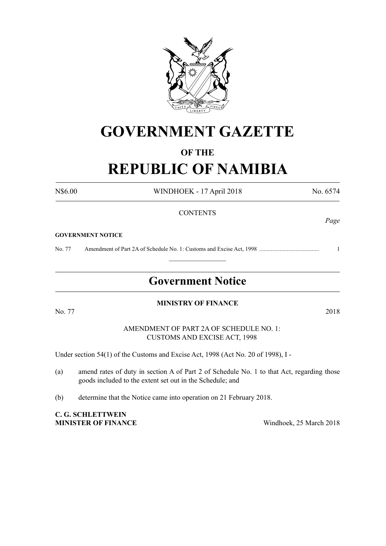

## **GOVERNMENT GAZETTE**

## **OF THE REPUBLIC OF NAMIBIA**

N\$6.00 WINDHOEK - 17 April 2018 No. 6574 **CONTENTS GOVERNMENT NOTICE** No. 77 Amendment of Part 2A of Schedule No. 1: Customs and Excise Act, 1998 ......................................... 1  $\frac{1}{2}$ **Government Notice MINISTRY OF FINANCE**  No. 77 2018 AMENDMENT OF PART 2A OF SCHEDULE NO. 1: CUSTOMS AND EXCISE ACT, 1998 Under section 54(1) of the Customs and Excise Act, 1998 (Act No. 20 of 1998), I - (a) amend rates of duty in section A of Part 2 of Schedule No. 1 to that Act, regarding those goods included to the extent set out in the Schedule; and (b) determine that the Notice came into operation on 21 February 2018.

**C. G. Schlettwein MINISTER OF FINANCE** Windhoek, 25 March 2018

*Page*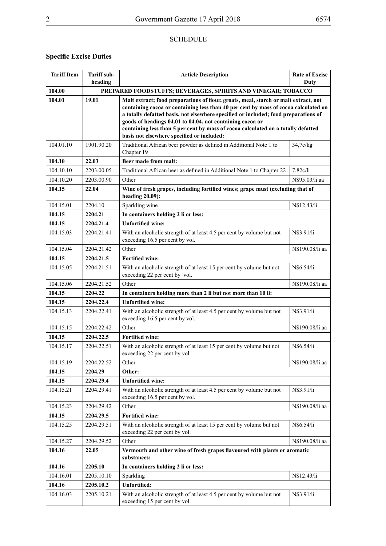## **SCHEDULE**

## **Specific Excise Duties**

| <b>Tariff Item</b> | <b>Tariff sub-</b><br>heading | <b>Article Description</b>                                                                                                                                                                                                                                                                                                                                                                                                                                        | <b>Rate of Excise</b><br>Duty |  |
|--------------------|-------------------------------|-------------------------------------------------------------------------------------------------------------------------------------------------------------------------------------------------------------------------------------------------------------------------------------------------------------------------------------------------------------------------------------------------------------------------------------------------------------------|-------------------------------|--|
| 104.00             |                               | PREPARED FOODSTUFFS; BEVERAGES, SPIRITS AND VINEGAR; TOBACCO                                                                                                                                                                                                                                                                                                                                                                                                      |                               |  |
| 104.01             | 19.01                         | Malt extract; food preparations of flour, groats, meal, starch or malt extract, not<br>containing cocoa or containing less than 40 per cent by mass of cocoa calculated on<br>a totally defatted basis, not elsewhere specified or included; food preparations of<br>goods of headings 04.01 to 04.04, not containing cocoa or<br>containing less than 5 per cent by mass of cocoa calculated on a totally defatted<br>basis not elsewhere specified or included: |                               |  |
| 104.01.10          | 1901.90.20                    | Traditional African beer powder as defined in Additional Note 1 to<br>Chapter 19                                                                                                                                                                                                                                                                                                                                                                                  | 34,7c/kg                      |  |
| 104.10             | 22.03                         | Beer made from malt:                                                                                                                                                                                                                                                                                                                                                                                                                                              |                               |  |
| 104.10.10          | 2203.00.05                    | Traditional African beer as defined in Additional Note 1 to Chapter 22                                                                                                                                                                                                                                                                                                                                                                                            | 7,82c/li                      |  |
| 104.10.20          | 2203.00.90                    | Other                                                                                                                                                                                                                                                                                                                                                                                                                                                             | N\$95.03/li aa                |  |
| 104.15             | 22.04                         | Wine of fresh grapes, including fortified wines; grape must (excluding that of<br>heading $20.09$ ):                                                                                                                                                                                                                                                                                                                                                              |                               |  |
| 104.15.01          | 2204.10                       | Sparkling wine                                                                                                                                                                                                                                                                                                                                                                                                                                                    | N\$12.43/li                   |  |
| 104.15             | 2204.21                       | In containers holding 2 li or less:                                                                                                                                                                                                                                                                                                                                                                                                                               |                               |  |
| 104.15             | 2204.21.4                     | <b>Unfortified wine:</b>                                                                                                                                                                                                                                                                                                                                                                                                                                          |                               |  |
| 104.15.03          | 2204.21.41                    | With an alcoholic strength of at least 4.5 per cent by volume but not<br>exceeding 16.5 per cent by vol.                                                                                                                                                                                                                                                                                                                                                          | N\$3.91/li                    |  |
| 104.15.04          | 2204.21.42                    | Other                                                                                                                                                                                                                                                                                                                                                                                                                                                             | N\$190.08/li aa               |  |
| 104.15             | 2204.21.5                     | <b>Fortified wine:</b>                                                                                                                                                                                                                                                                                                                                                                                                                                            |                               |  |
| 104.15.05          | 2204.21.51                    | With an alcoholic strength of at least 15 per cent by volume but not<br>exceeding 22 per cent by vol.                                                                                                                                                                                                                                                                                                                                                             | N\$6.54/li                    |  |
| 104.15.06          | 2204.21.52                    | Other                                                                                                                                                                                                                                                                                                                                                                                                                                                             | N\$190.08/li aa               |  |
| 104.15             | 2204.22                       | In containers holding more than 2 li but not more than 10 li:                                                                                                                                                                                                                                                                                                                                                                                                     |                               |  |
| 104.15             | 2204.22.4                     | <b>Unfortified wine:</b>                                                                                                                                                                                                                                                                                                                                                                                                                                          |                               |  |
| 104.15.13          | 2204.22.41                    | With an alcoholic strength of at least 4.5 per cent by volume but not<br>exceeding 16.5 per cent by vol.                                                                                                                                                                                                                                                                                                                                                          | N\$3.91/li                    |  |
| 104.15.15          | 2204.22.42                    | Other                                                                                                                                                                                                                                                                                                                                                                                                                                                             | N\$190.08/li aa               |  |
| 104.15             | 2204.22.5                     | <b>Fortified wine:</b>                                                                                                                                                                                                                                                                                                                                                                                                                                            |                               |  |
| 104.15.17          | 2204.22.51                    | With an alcoholic strength of at least 15 per cent by volume but not<br>exceeding 22 per cent by vol.                                                                                                                                                                                                                                                                                                                                                             | N\$6.54/li                    |  |
| 104.15.19          | 2204.22.52                    | Other                                                                                                                                                                                                                                                                                                                                                                                                                                                             | N\$190.08/li aa               |  |
| 104.15             | 2204.29                       | Other:                                                                                                                                                                                                                                                                                                                                                                                                                                                            |                               |  |
| 104.15             | 2204.29.4                     | <b>Unfortified wine:</b>                                                                                                                                                                                                                                                                                                                                                                                                                                          |                               |  |
| 104.15.21          | 2204.29.41                    | With an alcoholic strength of at least 4.5 per cent by volume but not<br>exceeding 16.5 per cent by vol.                                                                                                                                                                                                                                                                                                                                                          | N\$3.91/li                    |  |
| 104.15.23          | 2204.29.42                    | Other                                                                                                                                                                                                                                                                                                                                                                                                                                                             | N\$190.08/li aa               |  |
| 104.15             | 2204.29.5                     | <b>Fortified wine:</b>                                                                                                                                                                                                                                                                                                                                                                                                                                            |                               |  |
| 104.15.25          | 2204.29.51                    | With an alcoholic strength of at least 15 per cent by volume but not<br>exceeding 22 per cent by vol.                                                                                                                                                                                                                                                                                                                                                             | N\$6.54/li                    |  |
| 104.15.27          | 2204.29.52                    | Other                                                                                                                                                                                                                                                                                                                                                                                                                                                             | N\$190.08/li aa               |  |
| 104.16             | 22.05                         | Vermouth and other wine of fresh grapes flavoured with plants or aromatic<br>substances:                                                                                                                                                                                                                                                                                                                                                                          |                               |  |
| 104.16             | 2205.10                       | In containers holding 2 li or less:                                                                                                                                                                                                                                                                                                                                                                                                                               |                               |  |
| 104.16.01          | 2205.10.10                    | Sparkling                                                                                                                                                                                                                                                                                                                                                                                                                                                         | N\$12.43/li                   |  |
| 104.16             | 2205.10.2                     | <b>Unfortified:</b>                                                                                                                                                                                                                                                                                                                                                                                                                                               |                               |  |
| 104.16.03          | 2205.10.21                    | With an alcoholic strength of at least 4.5 per cent by volume but not<br>exceeding 15 per cent by vol.                                                                                                                                                                                                                                                                                                                                                            | N\$3.91/li                    |  |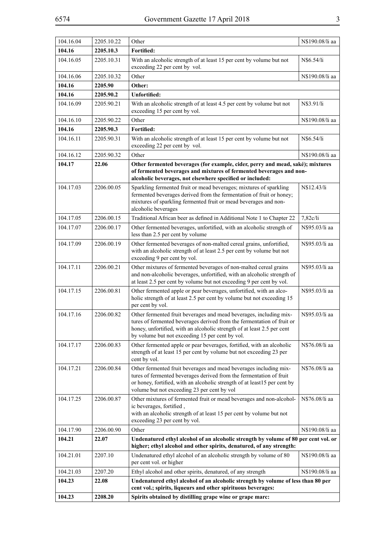| ۰.<br>۰. |              |
|----------|--------------|
| ×        | e.           |
|          |              |
|          | I<br>I<br>۰. |
|          |              |

| 104.16.04 | 2205.10.22 | Other                                                                                                                                                                                                                                                                      | N\$190.08/li aa |
|-----------|------------|----------------------------------------------------------------------------------------------------------------------------------------------------------------------------------------------------------------------------------------------------------------------------|-----------------|
| 104.16    | 2205.10.3  | Fortified:                                                                                                                                                                                                                                                                 |                 |
| 104.16.05 | 2205.10.31 | With an alcoholic strength of at least 15 per cent by volume but not<br>exceeding 22 per cent by vol.                                                                                                                                                                      | N\$6.54/li      |
| 104.16.06 | 2205.10.32 | Other                                                                                                                                                                                                                                                                      | N\$190.08/li aa |
| 104.16    | 2205.90    | Other:                                                                                                                                                                                                                                                                     |                 |
| 104.16    | 2205.90.2  | <b>Unfortified:</b>                                                                                                                                                                                                                                                        |                 |
| 104.16.09 | 2205.90.21 | With an alcoholic strength of at least 4.5 per cent by volume but not<br>exceeding 15 per cent by vol.                                                                                                                                                                     | N\$3.91/li      |
| 104.16.10 | 2205.90.22 | Other                                                                                                                                                                                                                                                                      | N\$190.08/li aa |
| 104.16    | 2205.90.3  | <b>Fortified:</b>                                                                                                                                                                                                                                                          |                 |
| 104.16.11 | 2205.90.31 | With an alcoholic strength of at least 15 per cent by volume but not<br>exceeding 22 per cent by vol.                                                                                                                                                                      | N\$6.54/li      |
| 104.16.12 | 2205.90.32 | Other                                                                                                                                                                                                                                                                      | N\$190.08/li aa |
| 104.17    | 22.06      | Other fermented beverages (for example, cider, perry and mead, saké); mixtures<br>of fermented beverages and mixtures of fermented beverages and non-<br>alcoholic beverages, not elsewhere specified or included:                                                         |                 |
| 104.17.03 | 2206.00.05 | Sparkling fermented fruit or mead beverages; mixtures of sparkling<br>fermented beverages derived from the fermentation of fruit or honey;<br>mixtures of sparkling fermented fruit or mead beverages and non-<br>alcoholic beverages                                      | N\$12.43/li     |
| 104.17.05 | 2206.00.15 | Traditional African beer as defined in Additional Note 1 to Chapter 22                                                                                                                                                                                                     | 7,82c/li        |
| 104.17.07 | 2206.00.17 | Other fermented beverages, unfortified, with an alcoholic strength of<br>less than 2.5 per cent by volume                                                                                                                                                                  | N\$95.03/li aa  |
| 104.17.09 | 2206.00.19 | Other fermented beverages of non-malted cereal grains, unfortified,<br>with an alcoholic strength of at least 2.5 per cent by volume but not<br>exceeding 9 per cent by vol.                                                                                               | N\$95.03/li aa  |
| 104.17.11 | 2206.00.21 | Other mixtures of fermented beverages of non-malted cereal grains<br>and non-alcoholic beverages, unfortified, with an alcoholic strength of<br>at least 2.5 per cent by volume but not exceeding 9 per cent by vol.                                                       | N\$95.03/li aa  |
| 104.17.15 | 2206.00.81 | Other fermented apple or pear beverages, unfortified, with an alco-<br>holic strength of at least 2.5 per cent by volume but not exceeding 15<br>per cent by vol.                                                                                                          | N\$95.03/li aa  |
| 104.17.16 | 2206.00.82 | Other fermented fruit beverages and mead beverages, including mix-<br>tures of fermented beverages derived from the fermentation of fruit or<br>honey, unfortified, with an alcoholic strength of at least 2.5 per cent<br>by volume but not exceeding 15 per cent by vol. | N\$95.03/li aa  |
| 104.17.17 | 2206.00.83 | Other fermented apple or pear beverages, fortified, with an alcoholic<br>strength of at least 15 per cent by volume but not exceeding 23 per<br>cent by vol.                                                                                                               | N\$76.08/li aa  |
| 104.17.21 | 2206.00.84 | Other fermented fruit beverages and mead beverages including mix-<br>tures of fermented beverages derived from the fermentation of fruit<br>or honey, fortified, with an alcoholic strength of at least15 per cent by<br>volume but not exceeding 23 per cent by vol       | N\$76.08/li aa  |
| 104.17.25 | 2206.00.87 | Other mixtures of fermented fruit or mead beverages and non-alcohol-<br>ic beverages, fortified,<br>with an alcoholic strength of at least 15 per cent by volume but not<br>exceeding 23 per cent by vol.                                                                  | N\$76.08/li aa  |
| 104.17.90 | 2206.00.90 | Other                                                                                                                                                                                                                                                                      | N\$190.08/li aa |
| 104.21    | 22.07      | Undenatured ethyl alcohol of an alcoholic strength by volume of 80 per cent vol. or<br>higher; ethyl alcohol and other spirits, denatured, of any strength:                                                                                                                |                 |
| 104.21.01 | 2207.10    | Undenatured ethyl alcohol of an alcoholic strength by volume of 80<br>per cent vol. or higher                                                                                                                                                                              | N\$190.08/li aa |
| 104.21.03 | 2207.20    | Ethyl alcohol and other spirits, denatured, of any strength                                                                                                                                                                                                                | N\$190.08/li aa |
| 104.23    | 22.08      | Undenatured ethyl alcohol of an alcoholic strength by volume of less than 80 per<br>cent vol.; spirits, liqueurs and other spirituous beverages:                                                                                                                           |                 |
| 104.23    | 2208.20    | Spirits obtained by distilling grape wine or grape marc:                                                                                                                                                                                                                   |                 |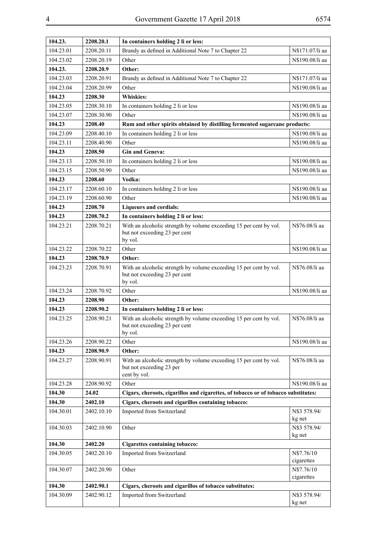| 104.23.   | 2208.20.1  | In containers holding 2 li or less:                                                                            |                          |
|-----------|------------|----------------------------------------------------------------------------------------------------------------|--------------------------|
| 104.23.01 | 2208.20.11 | Brandy as defined in Additional Note 7 to Chapter 22                                                           | N\$171.07/li aa          |
| 104.23.02 | 2208.20.19 | Other                                                                                                          | N\$190.08/li aa          |
| 104.23.   | 2208.20.9  | Other:                                                                                                         |                          |
| 104.23.03 | 2208.20.91 | Brandy as defined in Additional Note 7 to Chapter 22                                                           | N\$171.07/li aa          |
| 104.23.04 | 2208.20.99 | Other                                                                                                          | N\$190.08/li aa          |
| 104.23    | 2208.30    | <b>Whiskies:</b>                                                                                               |                          |
| 104.23.05 | 2208.30.10 | In containers holding 2 li or less                                                                             | N\$190.08/li aa          |
| 104.23.07 | 2208.30.90 | Other                                                                                                          | N\$190.08/li aa          |
| 104.23    | 2208.40    | Rum and other spirits obtained by distilling fermented sugarcane products:                                     |                          |
| 104.23.09 | 2208.40.10 | In containers holding 2 li or less                                                                             | N\$190.08/li aa          |
| 104.23.11 | 2208.40.90 | Other                                                                                                          | N\$190.08/li aa          |
| 104.23    | 2208.50    | <b>Gin and Geneva:</b>                                                                                         |                          |
| 104.23.13 | 2208.50.10 | In containers holding 2 li or less                                                                             | N\$190.08/li aa          |
| 104.23.15 | 2208.50.90 | Other                                                                                                          | N\$190.08/li aa          |
| 104.23    | 2208.60    | Vodka:                                                                                                         |                          |
| 104.23.17 | 2208.60.10 | In containers holding 2 li or less                                                                             | N\$190.08/li aa          |
| 104.23.19 | 2208.60.90 | Other                                                                                                          | N\$190.08/li aa          |
| 104.23    | 2208.70    | <b>Liqueurs and cordials:</b>                                                                                  |                          |
| 104.23    | 2208.70.2  | In containers holding 2 li or less:                                                                            |                          |
| 104.23.21 | 2208.70.21 | With an alcoholic strength by volume exceeding 15 per cent by vol.<br>but not exceeding 23 per cent<br>by vol. | N\$76.08/li aa           |
| 104.23.22 | 2208.70.22 | Other                                                                                                          | N\$190.08/li aa          |
| 104.23    | 2208.70.9  | Other:                                                                                                         |                          |
| 104.23.23 | 2208.70.91 | With an alcoholic strength by volume exceeding 15 per cent by vol.<br>but not exceeding 23 per cent<br>by vol. | N\$76.08/li aa           |
| 104.23.24 | 2208.70.92 | Other                                                                                                          | N\$190.08/li aa          |
| 104.23    | 2208.90    | Other:                                                                                                         |                          |
| 104.23    | 2208.90.2  | In containers holding 2 li or less:                                                                            |                          |
| 104.23.25 | 2208.90.21 | With an alcoholic strength by volume exceeding 15 per cent by vol.<br>but not exceeding 23 per cent<br>by vol. | N\$76.08/li aa           |
| 104.23.26 | 2208.90.22 | Other                                                                                                          | N\$190.08/li aa          |
| 104.23    | 2208.90.9  | Other:                                                                                                         |                          |
| 104.23.27 | 2208.90.91 | With an alcoholic strength by volume exceeding 15 per cent by vol.<br>but not exceeding 23 per<br>cent by vol. | N\$76.08/li aa           |
| 104.23.28 | 2208.90.92 | Other                                                                                                          | N\$190.08/li aa          |
| 104.30    | 24.02      | Cigars, cheroots, cigarillos and cigarettes, of tobacco or of tobacco substitutes:                             |                          |
| 104.30    | 2402.10    | Cigars, cheroots and cigarillos containing tobacco:                                                            |                          |
| 104.30.01 | 2402.10.10 | Imported from Switzerland                                                                                      | N\$3 578.94/<br>kg net   |
| 104.30.03 | 2402.10.90 | Other                                                                                                          | N\$3 578.94/<br>kg net   |
| 104.30    | 2402.20    | <b>Cigarettes containing tobacco:</b>                                                                          |                          |
| 104.30.05 | 2402.20.10 | Imported from Switzerland                                                                                      | N\$7.76/10<br>cigarettes |
| 104.30.07 | 2402.20.90 | Other                                                                                                          | N\$7.76/10<br>cigarettes |
| 104.30    | 2402.90.1  | Cigars, cheroots and cigarillos of tobacco substitutes:                                                        |                          |
| 104.30.09 | 2402.90.12 | Imported from Switzerland                                                                                      | N\$3 578.94/<br>kg net   |